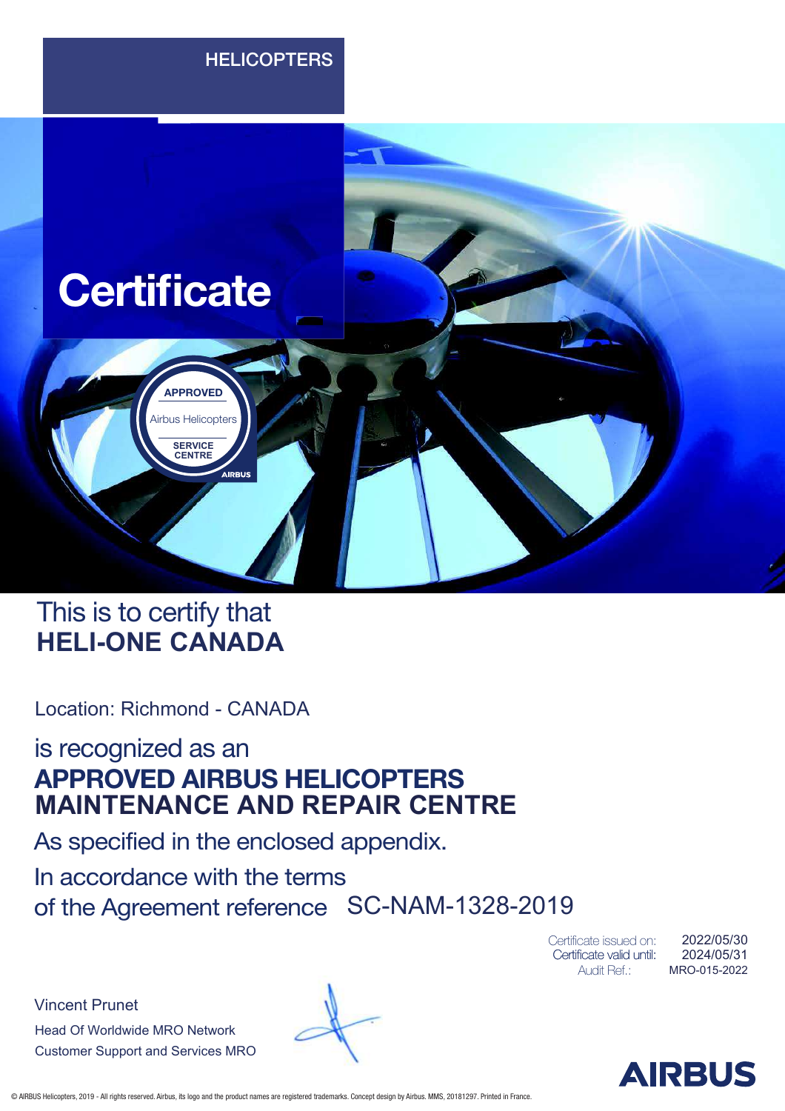

### This is to certify that **HELI-ONE CANADA**

Location: Richmond - CANADA

is recognized as an APPROVED AIRBUS HELICOPTERS **MAINTENANCE AND REPAIR CENTRE**

As specified in the enclosed appendix.

In accordance with the terms of the Agreement reference SC-NAM-1328-2019

> Certificate issued on: Certificate valid until: Audit Ref.:

MRO-015-2022 2024/05/31 2022/05/30

Vincent Prunet Head Of Worldwide MRO Network Customer Support and Services MRO

© AIRBUS Helicopters, 2019 - All rights reserved. Airbus, its logo and the product names are registered trademarks. Concept design by Airbus. MMS, 20181297. Printed in France.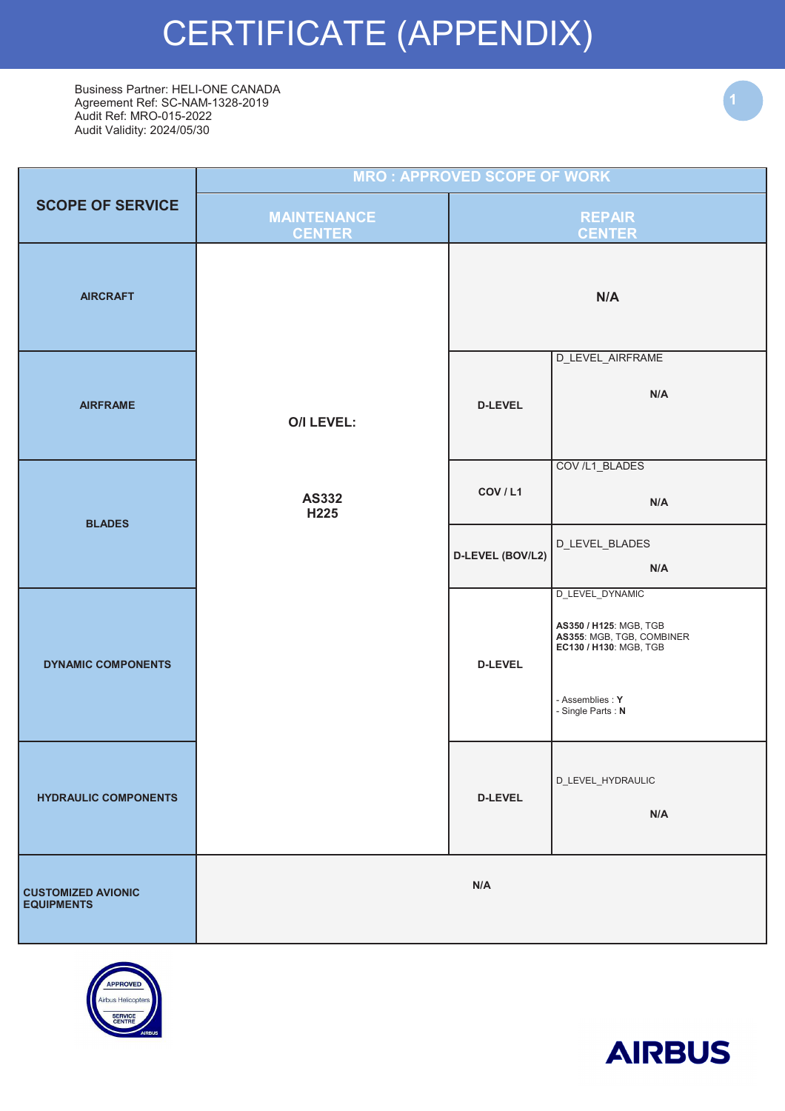# CERTIFICATE (APPENDIX)

Business Partner: HELI-ONE CANADA Agreement Ref: SC-NAM-1328-2019 Audit Ref: MRO-015-2022 Audit Validity: 2024/05/30

|                                                | <b>MRO: APPROVED SCOPE OF WORK</b>  |                  |                                                                                                                                            |  |
|------------------------------------------------|-------------------------------------|------------------|--------------------------------------------------------------------------------------------------------------------------------------------|--|
| <b>SCOPE OF SERVICE</b>                        | <b>MAINTENANCE</b><br><b>CENTER</b> |                  | <b>REPAIR</b><br><b>CENTER</b>                                                                                                             |  |
| <b>AIRCRAFT</b>                                |                                     |                  | N/A                                                                                                                                        |  |
| <b>AIRFRAME</b>                                | <b>O/I LEVEL:</b>                   | <b>D-LEVEL</b>   | D_LEVEL_AIRFRAME<br>N/A                                                                                                                    |  |
| <b>BLADES</b>                                  | <b>AS332</b><br>H225                | COV / L1         | COV /L1_BLADES<br>N/A                                                                                                                      |  |
|                                                |                                     | D-LEVEL (BOV/L2) | D_LEVEL_BLADES<br>N/A                                                                                                                      |  |
| <b>DYNAMIC COMPONENTS</b>                      |                                     | <b>D-LEVEL</b>   | D_LEVEL_DYNAMIC<br>AS350 / H125: MGB, TGB<br>AS355: MGB, TGB, COMBINER<br>EC130 / H130: MGB, TGB<br>- Assemblies : Y<br>- Single Parts : N |  |
| <b>HYDRAULIC COMPONENTS</b>                    |                                     | <b>D-LEVEL</b>   | D_LEVEL_HYDRAULIC<br>N/A                                                                                                                   |  |
| <b>CUSTOMIZED AVIONIC</b><br><b>EQUIPMENTS</b> |                                     | N/A              |                                                                                                                                            |  |



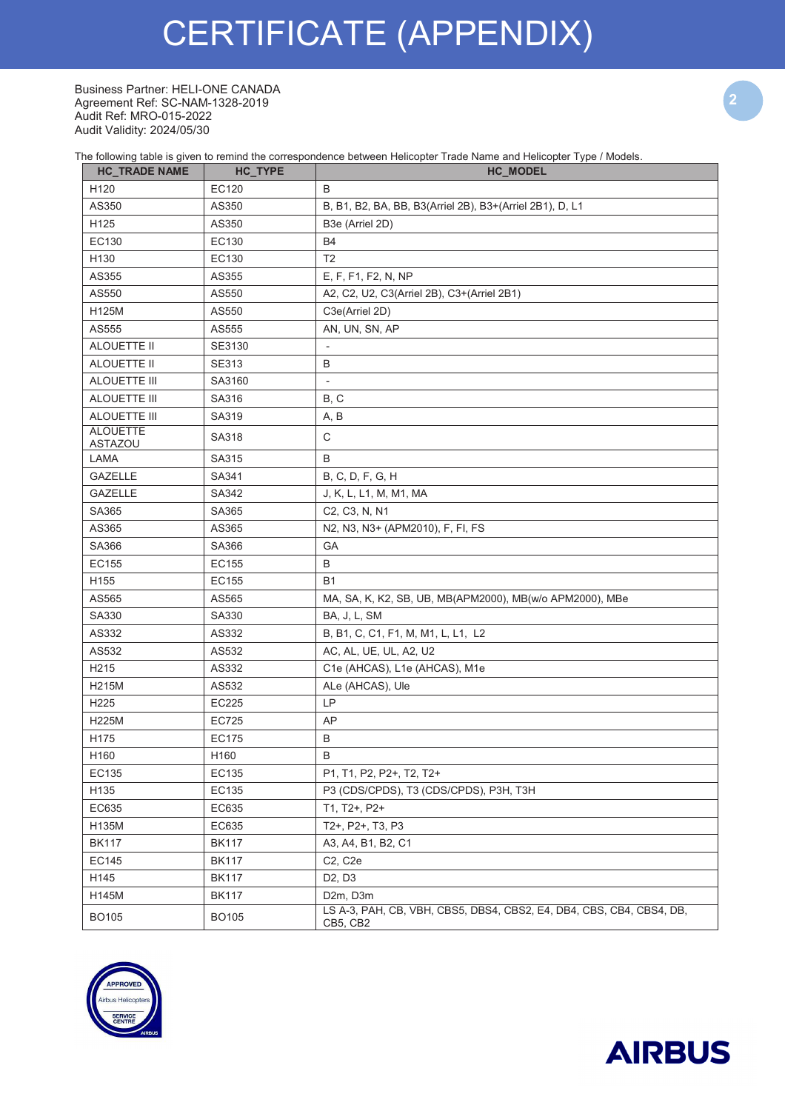# CERTIFICATE (APPENDIX)

Business Partner: HELI-ONE CANADA Agreement Ref: SC-NAM-1328-2019 Audit Ref: MRO-015-2022 Audit Validity: 2024/05/30

The following table is given to remind the correspondence between Helicopter Trade Name and Helicopter Type / Models.

| <b>HC_TRADE NAME</b>       | HC_TYPE      | <b>HC_MODEL</b>                                                                  |
|----------------------------|--------------|----------------------------------------------------------------------------------|
| H120                       | EC120        | B                                                                                |
| AS350                      | AS350        | B, B1, B2, BA, BB, B3(Arriel 2B), B3+(Arriel 2B1), D, L1                         |
| H125                       | AS350        | B3e (Arriel 2D)                                                                  |
| EC130                      | EC130        | <b>B4</b>                                                                        |
| H130                       | EC130        | T <sub>2</sub>                                                                   |
| AS355                      | AS355        | E, F, F1, F2, N, NP                                                              |
| AS550                      | AS550        | A2, C2, U2, C3(Arriel 2B), C3+(Arriel 2B1)                                       |
| H125M                      | AS550        | C3e(Arriel 2D)                                                                   |
| AS555                      | AS555        | AN, UN, SN, AP                                                                   |
| ALOUETTE II                | SE3130       | $\overline{\phantom{a}}$                                                         |
| ALOUETTE II                | SE313        | B                                                                                |
| ALOUETTE III               | SA3160       | $\overline{\phantom{a}}$                                                         |
| ALOUETTE III               | SA316        | B, C                                                                             |
| ALOUETTE III               | SA319        | A, B                                                                             |
| <b>ALOUETTE</b><br>ASTAZOU | SA318        | $\mathsf C$                                                                      |
| LAMA                       | SA315        | B                                                                                |
| <b>GAZELLE</b>             | SA341        | B, C, D, F, G, H                                                                 |
| <b>GAZELLE</b>             | SA342        | J, K, L, L1, M, M1, MA                                                           |
| SA365                      | SA365        | C2, C3, N, N1                                                                    |
| AS365                      | AS365        | N2, N3, N3+ (APM2010), F, FI, FS                                                 |
| SA366                      | SA366        | GA                                                                               |
| EC155                      | EC155        | B                                                                                |
| H155                       | EC155        | <b>B1</b>                                                                        |
| AS565                      | AS565        | MA, SA, K, K2, SB, UB, MB(APM2000), MB(w/o APM2000), MBe                         |
| SA330                      | SA330        | BA, J, L, SM                                                                     |
| AS332                      | AS332        | B, B1, C, C1, F1, M, M1, L, L1, L2                                               |
| AS532                      | AS532        | AC, AL, UE, UL, A2, U2                                                           |
| H <sub>2</sub> 15          | AS332        | C1e (AHCAS), L1e (AHCAS), M1e                                                    |
| H215M                      | AS532        | ALe (AHCAS), Ule                                                                 |
| H225                       | EC225        | LP                                                                               |
| H225M                      | EC725        | AP                                                                               |
| H175                       | <b>EC175</b> | B                                                                                |
| H160                       | H160         | B                                                                                |
| EC135                      | EC135        | P1, T1, P2, P2+, T2, T2+                                                         |
| H135                       | EC135        | P3 (CDS/CPDS), T3 (CDS/CPDS), P3H, T3H                                           |
| EC635                      | EC635        | T1, T2+, P2+                                                                     |
| H135M                      | EC635        | T2+, P2+, T3, P3                                                                 |
| <b>BK117</b>               | <b>BK117</b> | A3, A4, B1, B2, C1                                                               |
| EC145                      | <b>BK117</b> | C2, C2e                                                                          |
| H145                       | <b>BK117</b> | D <sub>2</sub> , D <sub>3</sub>                                                  |
| H145M                      | <b>BK117</b> | D2m, D3m                                                                         |
| <b>BO105</b>               | <b>BO105</b> | LS A-3, PAH, CB, VBH, CBS5, DBS4, CBS2, E4, DB4, CBS, CB4, CBS4, DB,<br>CB5, CB2 |



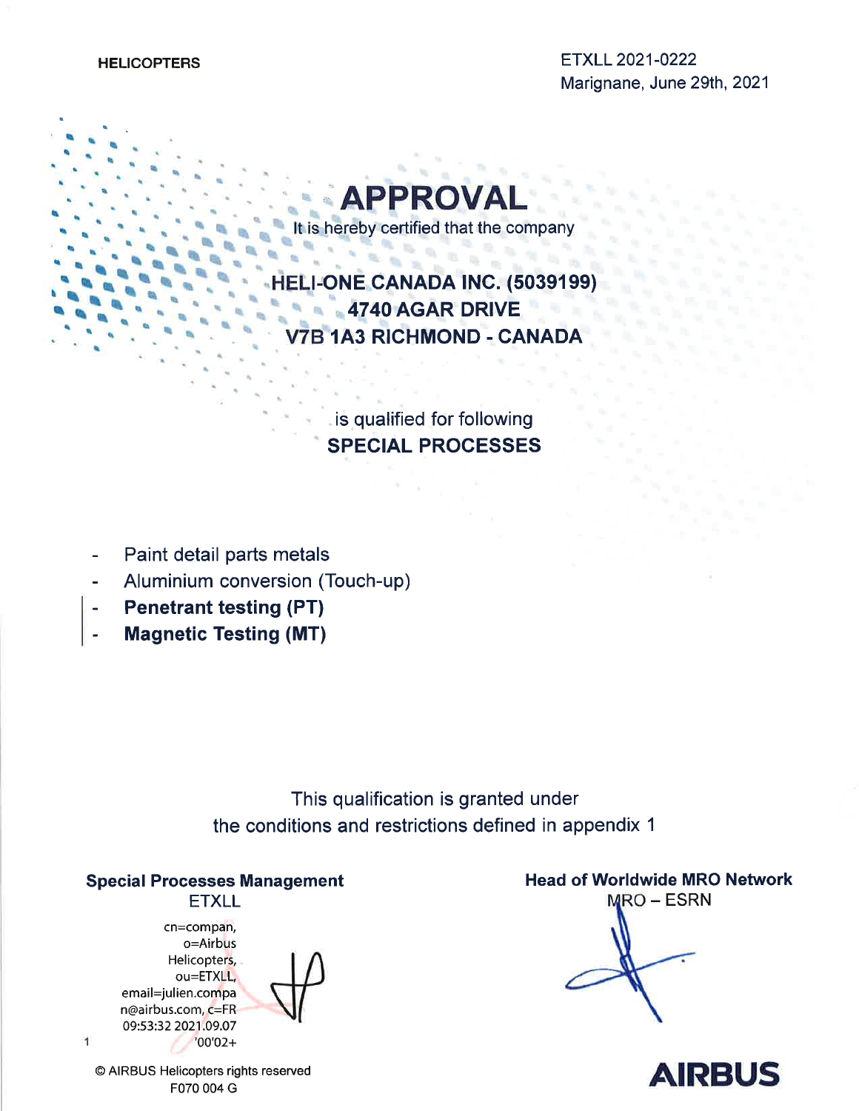

It is hereby certified that the company 

**Burg** 

LI-ONE CANADA INC. (5039199) 4740 AGAR DRIVE **B 1A3 RICHMOND - CANADA** 

> is qualified for following **SPECIAL PROCESSES**

- Paint detail parts metals
- Aluminium conversion (Touch-up)
- **Penetrant testing (PT)**
- **Magnetic Testing (MT)** .<br>..

This qualification is granted under the conditions and restrictions defined in appendix 1

### **Special Processes Management**

### **ETXLL**

cn=compan, o=Airbus Helicopters, ou=ETXLL, email=julien.compa n@airbus.com, c=FR 09:53:32 2021.09.07  $'00'02+$ 



**Head of Worldwide MRO Network MRO – ESRN** 



© AIRBUS Helicopters rights reserved F070 004 G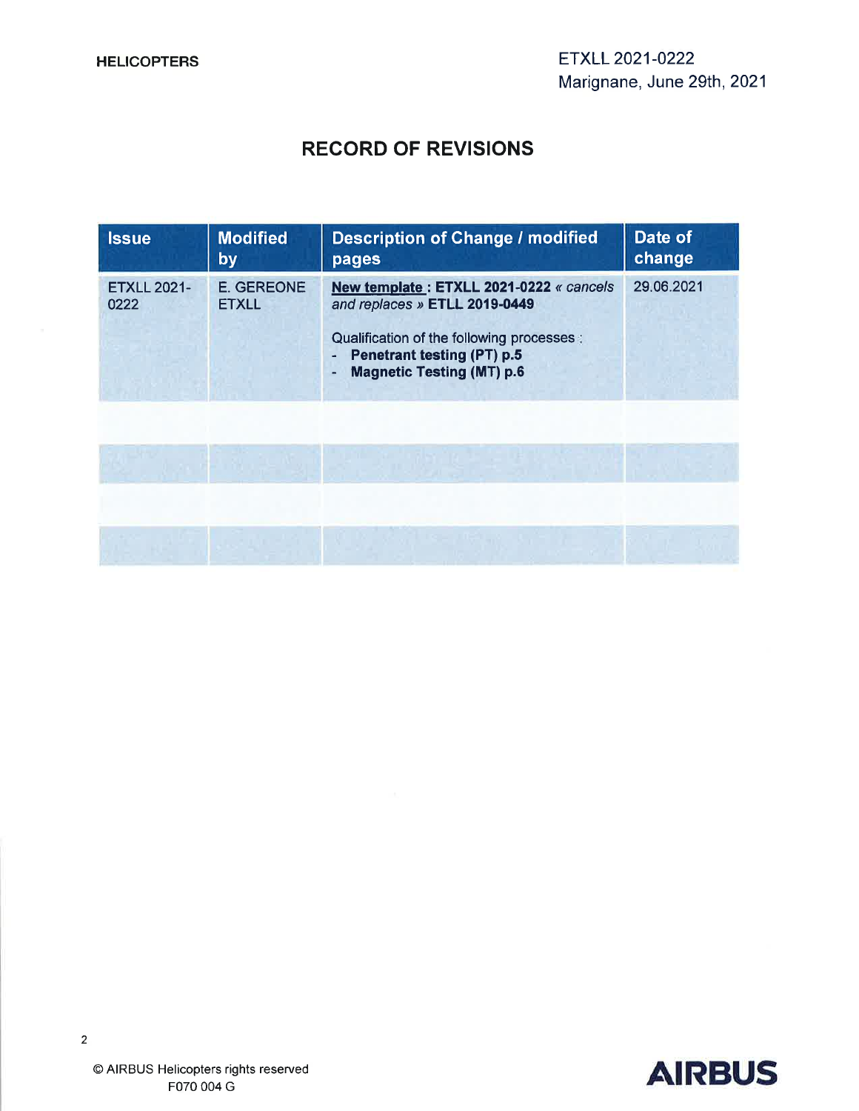### **RECORD OF REVISIONS**

| <b>Issue</b>               | <b>Modified</b><br><u>lby</u>     | <b>Description of Change / modified</b><br>pages                                                                                                                                               | Date of<br>change |
|----------------------------|-----------------------------------|------------------------------------------------------------------------------------------------------------------------------------------------------------------------------------------------|-------------------|
| <b>ETXLL 2021-</b><br>0222 | <b>E. GEREONE</b><br><b>ETXLL</b> | New template: ETXLL 2021-0222 « cancels<br>and replaces » ETLL 2019-0449<br>Qualification of the following processes:<br><b>Penetrant testing (PT) p.5</b><br><b>Magnetic Testing (MT) p.6</b> | 29.06.2021        |
|                            |                                   |                                                                                                                                                                                                |                   |
|                            |                                   |                                                                                                                                                                                                |                   |

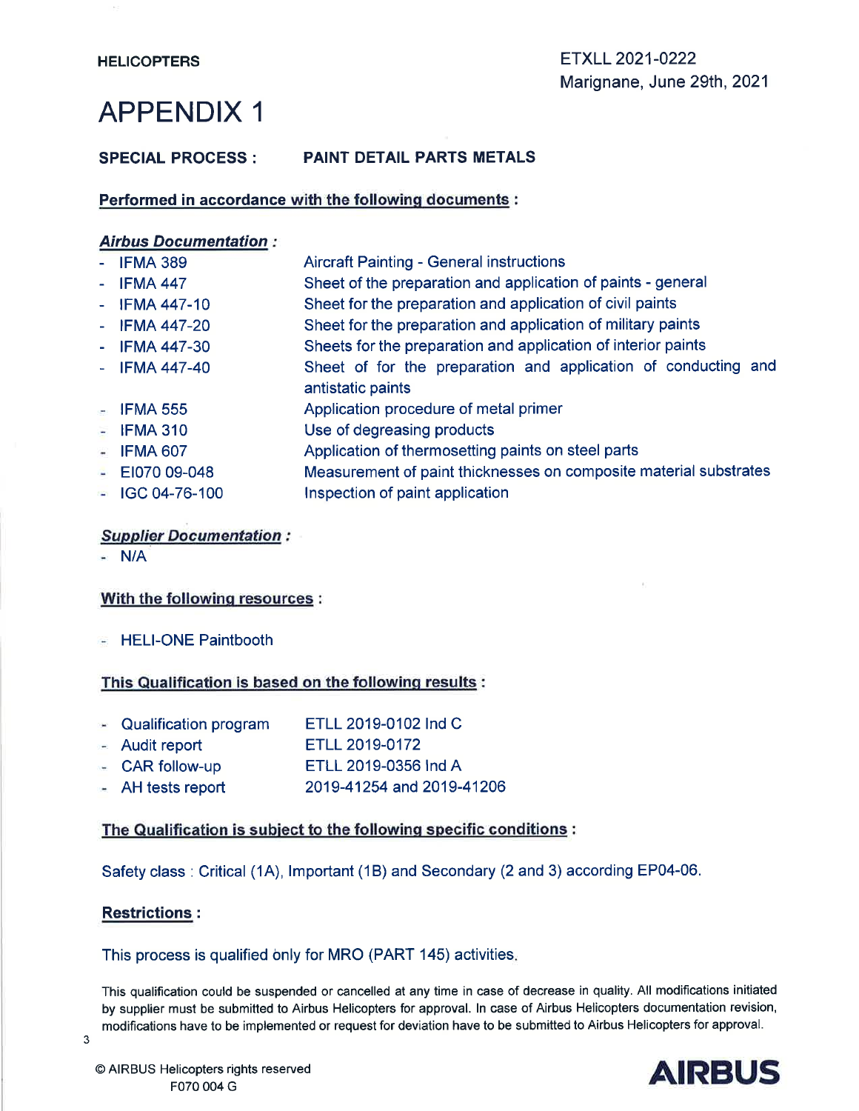#### **SPECIAL PROCESS:** PAINT DETAIL PARTS METALS

#### Performed in accordance with the following documents :

#### **Airbus Documentation:**

|                | $-$ IFMA 389       | <b>Aircraft Painting - General instructions</b>                   |
|----------------|--------------------|-------------------------------------------------------------------|
|                | $-$ IFMA 447       | Sheet of the preparation and application of paints - general      |
|                | $-$ IFMA 447-10    | Sheet for the preparation and application of civil paints         |
|                | - IFMA 447-20      | Sheet for the preparation and application of military paints      |
| $\blacksquare$ | <b>IFMA 447-30</b> | Sheets for the preparation and application of interior paints     |
| $\omega$       | <b>IFMA 447-40</b> | Sheet of for the preparation and application of conducting and    |
|                |                    | antistatic paints                                                 |
|                | $-$ IFMA 555       | Application procedure of metal primer                             |
|                | $-$ IFMA 310       | Use of degreasing products                                        |
|                | $-$ IFMA 607       | Application of thermosetting paints on steel parts                |
|                | $-$ EI070 09-048   | Measurement of paint thicknesses on composite material substrates |
|                | $-$ IGC 04-76-100  | Inspection of paint application                                   |

#### **Supplier Documentation:**

 $-$  N/A

#### With the following resources:

- HELI-ONE Paintbooth

#### This Qualification is based on the following results :

- ETLL 2019-0102 Ind C - Qualification program
- ETLL 2019-0172 - Audit report
- CAR follow-up ETLL 2019-0356 Ind A
- 2019-41254 and 2019-41206  $-$  AH tests report

#### The Qualification is subject to the following specific conditions :

Safety class: Critical (1A), Important (1B) and Secondary (2 and 3) according EP04-06.

#### **Restrictions:**

#### This process is qualified only for MRO (PART 145) activities.

This qualification could be suspended or cancelled at any time in case of decrease in quality. All modifications initiated by supplier must be submitted to Airbus Helicopters for approval. In case of Airbus Helicopters documentation revision, modifications have to be implemented or request for deviation have to be submitted to Airbus Helicopters for approval.

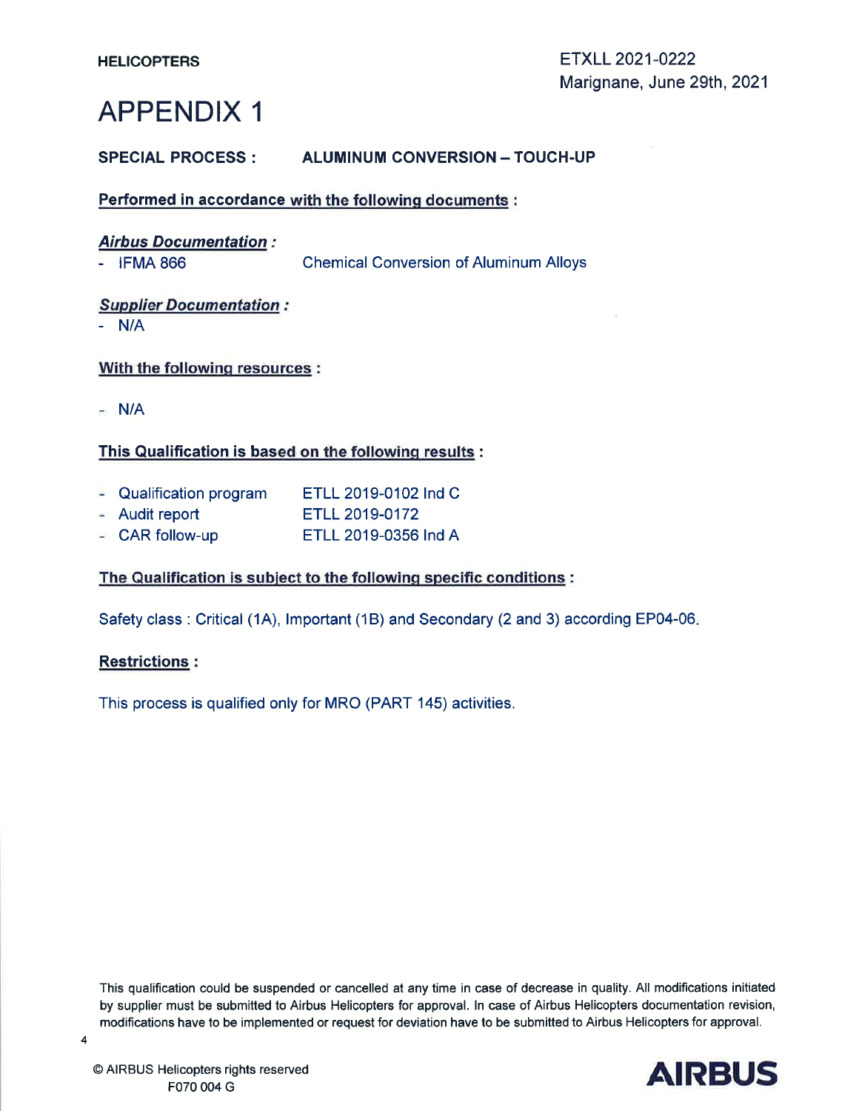#### **SPECIAL PROCESS: ALUMINUM CONVERSION - TOUCH-UP**

Performed in accordance with the following documents :

|  | <b>Airbus Documentation:</b> |  |
|--|------------------------------|--|
|--|------------------------------|--|

 $-$  IFMA 866

**Chemical Conversion of Aluminum Alloys** 

#### **Supplier Documentation:**

 $-$  N/A

#### With the following resources :

 $-$  N/A

### This Qualification is based on the following results:

- Qualification program ETLL 2019-0102 Ind C
- Audit report ETLL 2019-0172
- ETLL 2019-0356 Ind A - CAR follow-up

#### The Qualification is subject to the following specific conditions :

Safety class: Critical (1A), Important (1B) and Secondary (2 and 3) according EP04-06.

#### **Restrictions:**

This process is qualified only for MRO (PART 145) activities.

This qualification could be suspended or cancelled at any time in case of decrease in quality. All modifications initiated by supplier must be submitted to Airbus Helicopters for approval. In case of Airbus Helicopters documentation revision, modifications have to be implemented or request for deviation have to be submitted to Airbus Helicopters for approval.

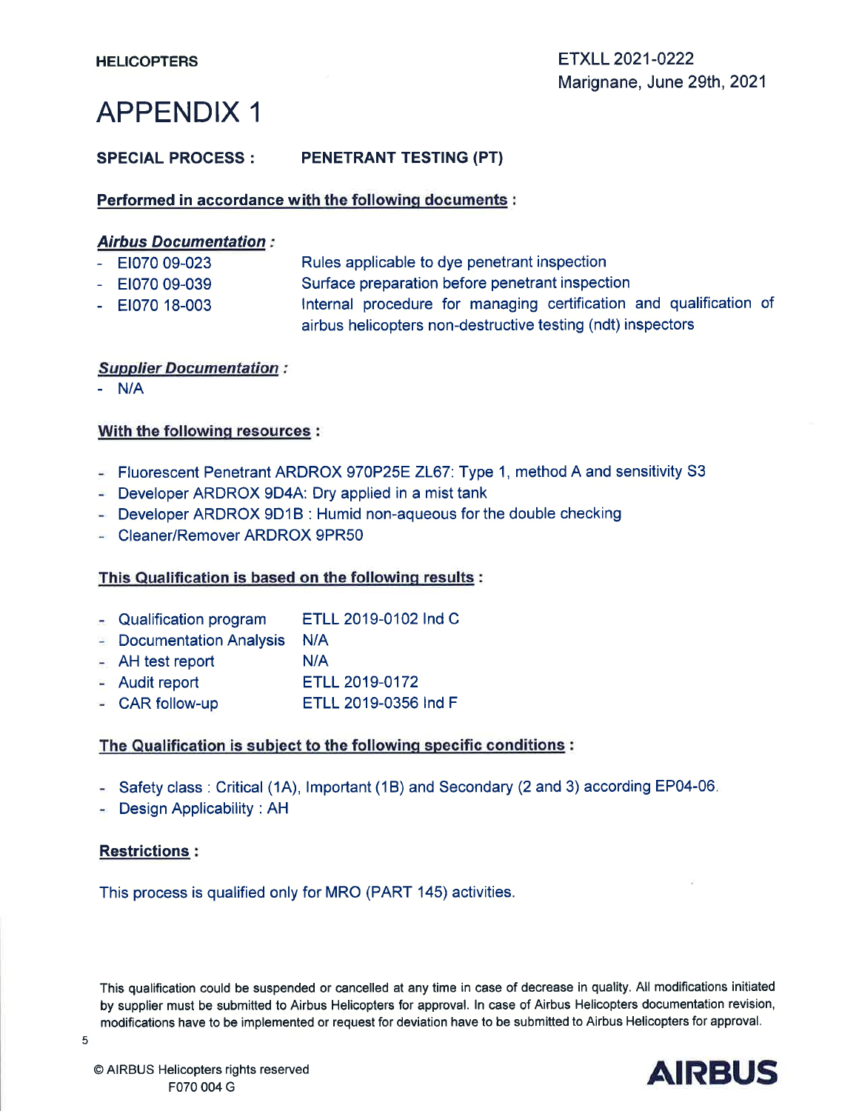#### **SPECIAL PROCESS: PENETRANT TESTING (PT)**

#### Performed in accordance with the following documents :

#### **Airbus Documentation:**

- EI070 09-023 Rules applicable to dye penetrant inspection
- EI070 09-039 Surface preparation before penetrant inspection
- Internal procedure for managing certification and qualification of  $-$  EI070 18-003 airbus helicopters non-destructive testing (ndt) inspectors

#### **Supplier Documentation:**

 $- N/A$ 

#### With the following resources:

- Fluorescent Penetrant ARDROX 970P25E ZL67: Type 1, method A and sensitivity S3
- Developer ARDROX 9D4A: Dry applied in a mist tank
- Developer ARDROX 9D1B : Humid non-aqueous for the double checking
- Cleaner/Remover ARDROX 9PR50

#### This Qualification is based on the following results:

- Qualification program ETLL 2019-0102 Ind C
- Documentation Analysis N/A
- $N/A$  $\blacksquare$  AH test report
- $-$  Audit report ETLL 2019-0172
- ETLL 2019-0356 Ind F  $-$  CAR follow-up

#### The Qualification is subject to the following specific conditions :

- Safety class: Critical (1A), Important (1B) and Secondary (2 and 3) according EP04-06.
- **E** Design Applicability: AH

#### **Restrictions:**

This process is qualified only for MRO (PART 145) activities.

This qualification could be suspended or cancelled at any time in case of decrease in quality. All modifications initiated by supplier must be submitted to Airbus Helicopters for approval. In case of Airbus Helicopters documentation revision, modifications have to be implemented or request for deviation have to be submitted to Airbus Helicopters for approval.